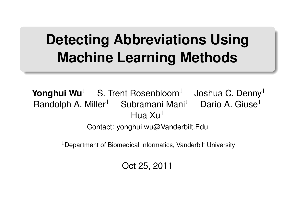## **Detecting Abbreviations Using Machine Learning Methods**

.. .

**Yonghui Wu<sup>1</sup>** S. Trent Rosenbloom<sup>1</sup> Joshua C. Denny<sup>1</sup> Randolph A. Miller<sup>1</sup> Subramani Mani<sup>1</sup> Dario A. Giuse<sup>1</sup> Hua  $Xu<sup>1</sup>$ 

Contact: yonghui.wu@Vanderbilt.Edu

<sup>1</sup> Department of Biomedical Informatics, Vanderbilt University

Oct 25, 2011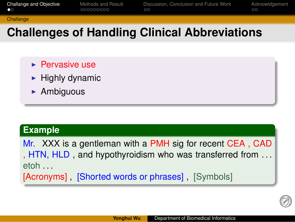### **Challange Challenges of Handling Clinical Abbreviations**

Discussion, Conclusion and Future Work<br>oo

Acknowldgement<br>00

 $\circledcirc$ 

Methods and Result<br>000000000

- $\blacktriangleright$  Pervasive use
- $\blacktriangleright$  Highly dynamic
- $\blacktriangleright$  Ambiguous

### . **Example** ..

Challange and Objective<br>●○

. [Acronyms] , [Shorted words or phrases] , [Symbols] .. . Mr. XXX is a gentleman with a PMH sig for recent CEA, CAD , HTN, HLD , and hypothyroidism who was transferred from . . . etoh . . .

**Yonghui Wu** Department of Biomedical Informatics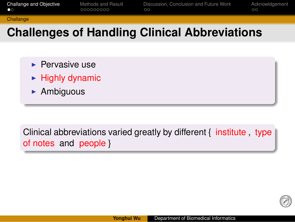#### Challange and Objective<br>●○ Methods and Result<br>000000000 Discussion, Conclusion and Future Work<br>oo Acknowldgement<br>00 **Challange**

## **Challenges of Handling Clinical Abbreviations**

- $\blacktriangleright$  Pervasive use
- $\blacktriangleright$  Highly dynamic
- $\blacktriangleright$  Ambiguous

. . of notes and people } .. . Clinical abbreviations varied greatly by different { institute, type

**Yonghui Wu** Department of Biomedical Informatics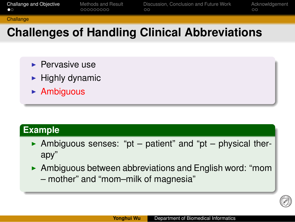### **Challange Challenges of Handling Clinical Abbreviations**

Discussion, Conclusion and Future Work<br>oo

Acknowldgement<br>00

 $\circledcirc$ 

Methods and Result<br>000000000

- $\blacktriangleright$  Pervasive use
- $\blacktriangleright$  Highly dynamic
- $\blacktriangleright$  Ambiguous

# . **Example** ..

Challange and Objective<br>●○

Ambiguous senses: "pt – patient" and "pt – physical therapy"

.. .

 $\blacktriangleright$  Ambiguous between abbreviations and English word: "mom – mother" and "mom–milk of magnesia"

**Yonghui Wu** Department of Biomedical Information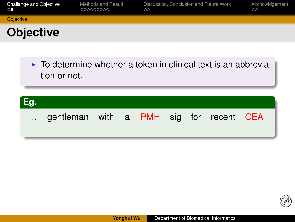

Discussion, Conclusion and Future Work<br>oo

**Yonghui Wu** Department of Biomedical Informatics

Acknowldgement<br>00

 $\circledcirc$ 

Methods and Result<br>000000000

Challange and Objective<br>oo

**Objective**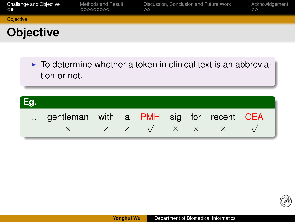### **Objective** .. .  $\triangleright$  To determine whether a token in clinical text is an abbreviation or not. . **Eg.** .. ... gentleman with a PMH sig for recent CEA *<sup>×</sup> × × <sup>√</sup> × × × <sup>√</sup>*

.. .

**Yonghui Wu** Department of Biomedical Informatics

Discussion, Conclusion and Future Work<br>oo

Methods and Result<br>000000000

Challange and Objective<br>oo

**Objective** 

 $\circledcirc$ 

Acknowldgement<br>00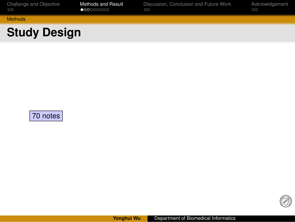

**Yonghui Wu** Department of Biomedical Informatics

 $\circledcirc$ 

. .70 notes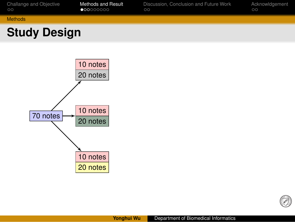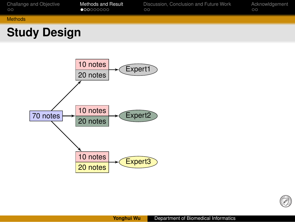

Expert3

**Yonghui Wu** Department of Biomedical Informatics

Discussion, Conclusion and Future Work<br>oo

Acknowldgement<br>00

 $\circledcirc$ 

Methods and Result<br>●○○○○○○○

.20 notes

Challange and Objective<br>oo

Methods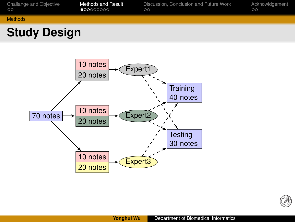

Expert3

**Yonghui Wu** Department of Biomedical Informatics

 $\circledcirc$ 

.10 notes .20 notes

## **Study Design**

Challange and Objective<br>oo Methods and Result<br>●○○○○○○○ Discussion, Conclusion and Future Work<br>oo Acknowldgement<br>00 Methods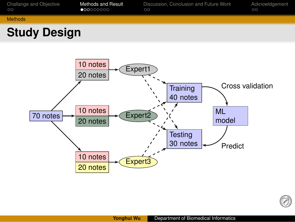

**Yonghui Wu** Department of Biomedical Informatics

Discussion,<br>oo

Conclusion and Future Work

Acknowldgement<br>00

Ø

Methods and Result<br>●○○○○○○○

Challange and Objective<br>oo

Methods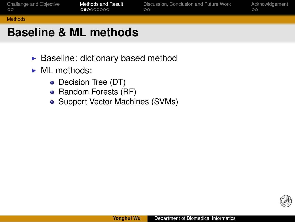#### Challange and Objective<br>oo Methods and Result<br>○●○○○○○○ Disc<br>00 ion and Future Wor Acknowldgement<br>00 Methods

**Yonghui Wu** Department of Biomedical Informatics

0

## **Baseline & ML methods**

- $\blacktriangleright$  Baseline: dictionary based method
- $\blacktriangleright$  ML methods:
	- Decision Tree (DT)
	- Random Forests (RF)
	- Support Vector Machines (SVMs)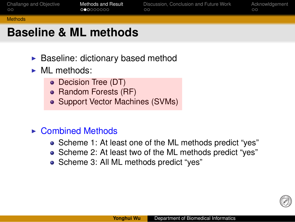#### Challange and Objective<br>oo Methods and Result<br>○●○○○○○○ Dise<br>00 Discussion, Conclusion and Future Work Acknowldgement<br>00 Methods

## **Baseline & ML methods**

- $\blacktriangleright$  Baseline: dictionary based method
- $\blacktriangleright$  ML methods:
	- Decision Tree (DT)
	- Random Forests (RF)
	- Support Vector Machines (SVMs) .
- $\triangleright$  Combined Methods
	- Scheme 1: At least one of the ML methods predict "yes"
	- Scheme 2: At least two of the ML methods predict "yes"

**Yonghui Wu** Department of Biomedical Informatics

Ø)

Scheme 3: All ML methods predict "yes"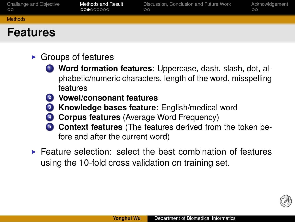| Challange and Objective | Methods and Result | Discussion, Conclusion and Future Work | Acknowldaement |
|-------------------------|--------------------|----------------------------------------|----------------|
| $\circ$                 | 000000000          | ററ                                     | ററ             |
| <b>Methods</b>          |                    |                                        |                |

### **Features**

- $\blacktriangleright$  Groups of features
	- . . .**<sup>1</sup> Word formation features**: Uppercase, dash, slash, dot, alphabetic/numeric characters, length of the word, misspelling features
	- . . .**<sup>2</sup> Vowel/consonant features**
	- . . .**<sup>3</sup> Knowledge bases feature**: English/medical word
	- . . .**<sup>4</sup> Corpus features** (Average Word Frequency)
	- **Context features** (The features derived from the token before and after the current word)

**You Department of Biomedical Information** 

Ø)

 $\blacktriangleright$  Feature selection: select the best combination of features using the 10-fold cross validation on training set.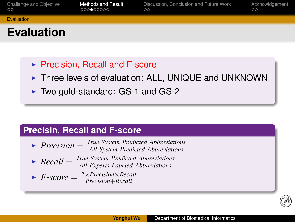### Challange and Objective<br>oo Methods and Result<br>○○○●○○○○○ Discussion, Conclusion and Future Work<br>oo Acknowldgement<br>00 **Evaluation**

## **Evaluation**

- ▶ Precision, Recall and F-score
- ▶ Three levels of evaluation: ALL, UNIQUE and UNKNOWN

.. .

.. .

**You Department of Biomedical Information** 

0

▶ Two gold-standard: GS-1 and GS-2

# **Precisin, Recall and F-score**

- ▶ <i>Precision</i> = <math>\frac{True\ System\ Predicted\ Abbreviations}{All\ System\ Predicted\ Abbreviations}</math> *All System Predicted Abbreviations*
- ▶ <i>Recall</i> = <math>\frac{True \text{ System Predicted Abbreviations}}{All \text{ Ernests Labeled Abbreviations}}</math>
- *All Experts Labeled Abbreviations*
- $\blacktriangleright$  *F*-*score* =  $\frac{2 \times Precision \times Recall}{Precision + Recall}$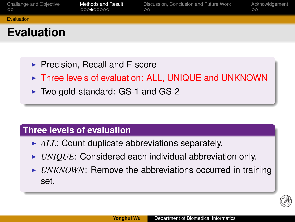### **Evaluation**

Challange and Objective<br>oo

**Evaluation** 

 $\blacktriangleright$  Precision, Recall and F-score

Methods and Result<br>○○○●○○○○○

▶ Three levels of evaluation: ALL, UNIQUE and UNKNOWN

.. .

Discussion, Conclusion and Future Work<br>oo

Acknowldgement<br>00

0

▶ Two gold-standard: GS-1 and GS-2

# . **Three levels of evaluation** ..

- ALL: Count duplicate abbreviations separately.
- ▶ *UNIQUE*: Considered each individual abbreviation only.
- I *UNKNOWN*: Remove the abbreviations occurred in training set.

**Department of Biomedical In**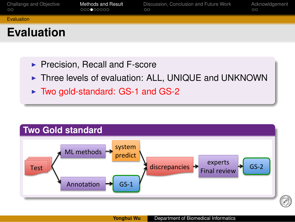### Challange and Objective<br>oo Methods and Result<br>○○○●○○○○○ Discussion, Conclusion and Future Work<br>oo Acknowldgement<br>00 **Evaluation Evaluation Precision, Recall and F-score** In Three levels of evaluation: ALL, UNIQUE and UNKNOWN

- 
- ► Two gold-standard: GS-1 and GS-2

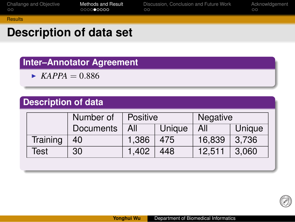### Challange and Objective<br>oo Methods and Result<br>○○○○●○○○○ Discussion, Conclusion and Future Work<br>oo Acknowldgement<br>00 **Results**

## **Description of data set**

# . **Inter–Annotator Agreement** ..

 $\blacktriangleright$  *KAPPA* = 0.886

| <b>Description of data</b> |                  |                 |        |          |        |  |  |
|----------------------------|------------------|-----------------|--------|----------|--------|--|--|
|                            | Number of        | <b>Positive</b> |        | Negative |        |  |  |
|                            | <b>Documents</b> | All             | Unique | All      | Unique |  |  |
| Training                   | 40               | 1,386           | 475    | 16,839   | 3,736  |  |  |
| Test                       | 30               | 1,402           | 448    | 12,511   | 3,060  |  |  |

.. .

**Yonghui Wu** Department of Biomedical Informatics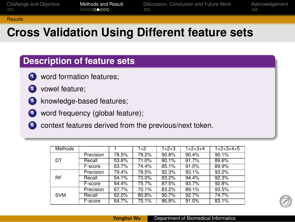#### Challange and Objective<br>oo Methods and Result<br>○○○○○●○○○ Discussion, Conclusion and Future Work<br>oo

## **Cross Validation Using Different feature sets**

# . **Description of feature sets** ..

- $\bullet$  word formation features;
- . . .**<sup>2</sup>** vowel feature;

**Results** 

- 8 knowledge-based features;
- . . .**<sup>4</sup>** word frequency (global feature);
- **.** context features derived from the previous/next token.

| <b>Methods</b> |           |       | $1+2$ | $1+2+3$ | $1+2+3+4$ | $1+2+3+4+5$ |
|----------------|-----------|-------|-------|---------|-----------|-------------|
|                | Precision | 78.5% | 78.2% | 90.8%   | 90.4%     | 90.1%       |
| DT             | Recall    | 53.6% | 71.0% | 80.1%   | 91.7%     | 89.6%       |
|                | F-score   | 63.7% | 74.4% | 85.1%   | 91.0%     | 89.9%       |
|                | Precision | 79.4% | 78.5% | 92.3%   | 93.1%     | $93.2\%$    |
| <b>RF</b>      | Recall    | 54.1% | 73.0% | 83.2%   | 94.4%     | 92.3%       |
|                | F-score   | 64.4% | 75.7% | 87.5%   | 93.7%     | 92.8%       |
|                | Precision | 67.7% | 70.1% | 83.2%   | 89.1%     | 93.5%       |
| <b>SVM</b>     | Recall    | 62.0% | 80.8% | 90.7%   | 92.7%     | 74.7%       |
|                | F-score   | 64.7% | 75.1% | 86.8%   | 91.0%     | 83.1%       |

.. .

**Yonghui Wu** Department of Biomedical Informatic

Acknowldgement<br>00

Ø)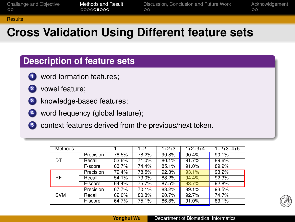#### Challange and Objective<br>oo Methods and Result<br>○○○○○●○○○ Discussion, Conclusion and Future Work<br>oo Acknowldgement<br>00 **Results**

## **Cross Validation Using Different feature sets**

# . **Description of feature sets** ..

- $\bullet$  word formation features;
- . . .**<sup>2</sup>** vowel feature;
- 8 knowledge-based features;
- . . .**<sup>4</sup>** word frequency (global feature);
- **.** context features derived from the previous/next token.

| <b>Methods</b> |           |       | $1+2$ | $1+2+3$ | $1+2+3+4$ | $1+2+3+4+5$ |
|----------------|-----------|-------|-------|---------|-----------|-------------|
|                | Precision | 78.5% | 78.2% | 90.8%   | 90.4%     | 90.1%       |
| DT             | Recall    | 53.6% | 71.0% | 80.1%   | 91.7%     | 89.6%       |
|                | F-score   | 63.7% | 74.4% | 85.1%   | 91.0%     | 89.9%       |
|                | Precision | 79.4% | 78.5% | 92.3%   | 93.1%     | 93.2%       |
| <b>RF</b>      | Recall    | 54.1% | 73.0% | 83.2%   | 94.4%     | 92.3%       |
|                | F-score   | 64.4% | 75.7% | 87.5%   | 93.7%     | 92.8%       |
|                | Precision | 67.7% | 70.1% | 83.2%   | 89.1%     | 93.5%       |
| <b>SVM</b>     | Recall    | 62.0% | 80.8% | 90.7%   | 92.7%     | 74.7%       |
|                | F-score   | 64.7% | 75.1% | 86.8%   | 91.0%     | 83.1%       |

.. .

**Yonghui Wu** Department of Biomedical Informatics

Ø)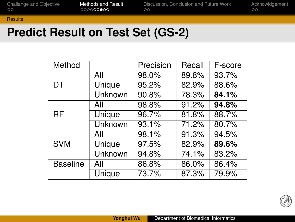| Challange and Objective | Methods and Result | Discussion, Conclusion and Future Work | Acknowldgement |
|-------------------------|--------------------|----------------------------------------|----------------|
| $\circ$                 | 000000000          | OO.                                    | ററ             |
| <b>Results</b>          |                    |                                        |                |

# **Predict Result on Test Set (GS-2)**

| Method          |                | Precision | Recall | F-score |
|-----------------|----------------|-----------|--------|---------|
|                 | All            | 98.0%     | 89.8%  | 93.7%   |
| DT              | Unique         | 95.2%     | 82.9%  | 88.6%   |
|                 | Unknown        | 90.8%     | 78.3%  | 84.1%   |
|                 | All            | 98.8%     | 91.2%  | 94.8%   |
| <b>RF</b>       | <b>Unique</b>  | 96.7%     | 81.8%  | 88.7%   |
|                 | <b>Unknown</b> | 93.1%     | 71.2%  | 80.7%   |
| <b>SVM</b>      | All            | 98.1%     | 91.3%  | 94.5%   |
|                 | <b>Unique</b>  | 97.5%     | 82.9%  | 89.6%   |
|                 | <b>Unknown</b> | 94.8%     | 74.1%  | 83.2%   |
| <b>Baseline</b> | All            | 86.8%     | 86.0%  | 86.4%   |
|                 | <b>Unique</b>  | 73.7%     | 87.3%  | 79.9%   |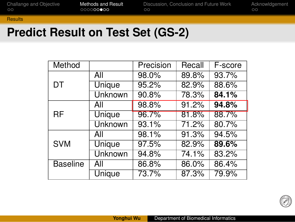| Challange and Objective | Methods and Result | Discussion, Conclusion and Future Work | Acknowldgement |
|-------------------------|--------------------|----------------------------------------|----------------|
| $\circ$                 | 000000000          | OO.                                    | ററ             |
| <b>Results</b>          |                    |                                        |                |

# **Predict Result on Test Set (GS-2)**

| Method          |                | Precision | Recall | F-score |
|-----------------|----------------|-----------|--------|---------|
|                 | All            | 98.0%     | 89.8%  | 93.7%   |
| DT              | Unique         | 95.2%     | 82.9%  | 88.6%   |
|                 | Unknown        | 90.8%     | 78.3%  | 84.1%   |
| RF              | All            | 98.8%     | 91.2%  | 94.8%   |
|                 | Unique         | 96.7%     | 81.8%  | 88.7%   |
|                 | <b>Unknown</b> | 93.1%     | 71.2%  | 80.7%   |
| <b>SVM</b>      | All            | 98.1%     | 91.3%  | 94.5%   |
|                 | <b>Unique</b>  | 97.5%     | 82.9%  | 89.6%   |
|                 | Unknown        | 94.8%     | 74.1%  | 83.2%   |
| <b>Baseline</b> | All            | 86.8%     | 86.0%  | 86.4%   |
|                 | Unique         | 73.7%     | 87.3%  | 79.9%   |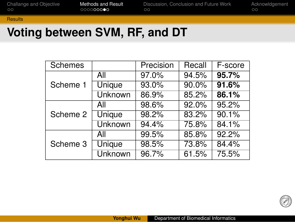#### Challange and Objective<br>oo Methods and Result<br>○○○○○○○●○ Discus<br>00 and Future Work Acknowldgement<br>00 **Results**

### **Voting between SVM, RF, and DT**

| Schemes  |                | Precision | Recall | F-score |
|----------|----------------|-----------|--------|---------|
|          | All            | 97.0%     | 94.5%  | 95.7%   |
| Scheme 1 | Unique         | 93.0%     | 90.0%  | 91.6%   |
|          | Unknown        | 86.9%     | 85.2%  | 86.1%   |
|          | All            | 98.6%     | 92.0%  | 95.2%   |
| Scheme 2 | Unique         | 98.2%     | 83.2%  | 90.1%   |
|          | <b>Unknown</b> | 94.4%     | 75.8%  | 84.1%   |
| Scheme 3 | All            | 99.5%     | 85.8%  | 92.2%   |
|          | <b>Unique</b>  | 98.5%     | 73.8%  | 84.4%   |
|          | <b>Unknown</b> | 96.7%     | 61.5%  | 75.5%   |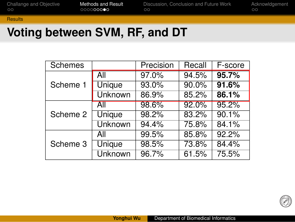#### Challange and Objective<br>oo Methods and Result<br>○○○○○○○●○ Discus<br>00 and Future Work Acknowldgement<br>00 **Results**

### **Voting between SVM, RF, and DT**

| <b>Schemes</b> |                | Precision | Recall | F-score |
|----------------|----------------|-----------|--------|---------|
|                | All            | 97.0%     | 94.5%  | 95.7%   |
| Scheme 1       | Unique         | 93.0%     | 90.0%  | 91.6%   |
|                | Unknown        | 86.9%     | 85.2%  | 86.1%   |
|                | All            | 98.6%     | 92.0%  | 95.2%   |
| Scheme 2       | Unique         | 98.2%     | 83.2%  | 90.1%   |
|                | <b>Unknown</b> | 94.4%     | 75.8%  | 84.1%   |
| Scheme 3       | All            | 99.5%     | 85.8%  | 92.2%   |
|                | <b>Unique</b>  | 98.5%     | 73.8%  | 84.4%   |
|                | <b>Unknown</b> | 96.7%     | 61.5%  | 75.5%   |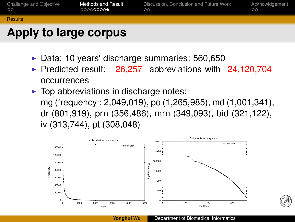

- $\blacktriangleright$  Data: 10 years' discharge summaries: 560,650
- Predicted result:  $26,257$  abbreviations with  $24,120,704$ occurrences
- $\blacktriangleright$  Top abbreviations in discharge notes: mg (frequency : 2,049,019), po (1,265,985), md (1,001,341), dr (801,919), prn (356,486), mrn (349,093), bid (321,122), iv (313,744), pt (308,048)

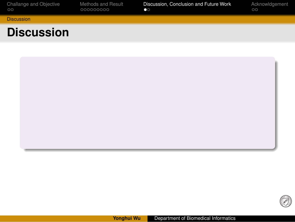

**Yonghui Wu** Department of Biomedical Informatics

Discussion, Conclusion and Future Work<br>●○

Methods and Result<br>000000000

Challange and Objective<br>oo

 $\circledS$ 

Acknowldgement<br>00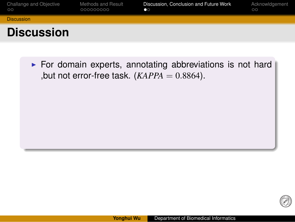### Challange and Objective<br>oo Methods and Result<br>000000000 Discussion, Conclusion and Future Work<br>●○ Acknowldgement<br>00 **Discussion Discussion**

 $\blacktriangleright$  For domain experts, annotating abbreviations is not hard ,but not error-free task.  $(KAPPA = 0.8864)$ .

.. .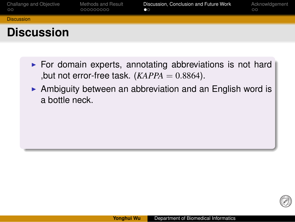#### $\frac{Cn}{200}$ Challange and Objective Methods and Result<br>000000000 Discussion, Conclusion and Future Work<br>●○ Acknowldgement<br>00 **Discussion Discussion**

- $\blacktriangleright$  For domain experts, annotating abbreviations is not hard ,but not error-free task. (*KAPPA* = 0*.*8864).
- $\blacktriangleright$  Ambiguity between an abbreviation and an English word is a bottle neck.

.. .

**Yonghui Wu** Department of Biomedical Inform

0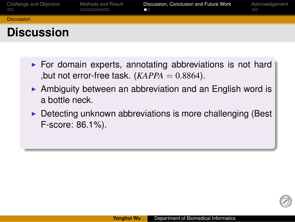#### $rac{C}{2C}$ Challange and Objective Methods and Result<br>000000000 Discussion, Conclusion and Future Work<br>●○ Acknowldgement<br>00 **Discussion**

# **Discussion**

- $\blacktriangleright$  For domain experts, annotating abbreviations is not hard ,but not error-free task. (*KAPPA* = 0*.*8864).
- $\blacktriangleright$  Ambiguity between an abbreviation and an English word is a bottle neck.
- $\triangleright$  Detecting unknown abbreviations is more challenging (Best F-score: 86.1%).

.. .

**You Department of Biomedical Information** 

Ø)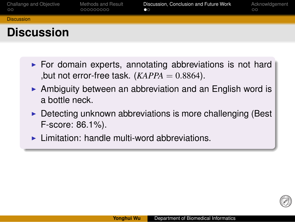#### $\circ$ Challange and Objective Methods and Result<br>000000000 Discussion, Conclusion and Future Work<br>●○ Acknowldgement<br>00 **Discussion**

### **Discussion**

- $\blacktriangleright$  For domain experts, annotating abbreviations is not hard ,but not error-free task. (*KAPPA* = 0*.*8864).
- $\blacktriangleright$  Ambiguity between an abbreviation and an English word is a bottle neck.
- $\triangleright$  Detecting unknown abbreviations is more challenging (Best F-score: 86.1%).

.. .

**Yonghui Wu** Department of Biomedical Inform

 $\blacktriangleright$  Limitation: handle multi-word abbreviations.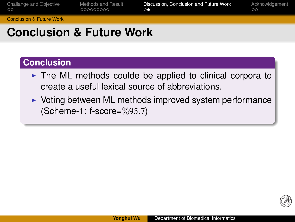#### Challange and Objective<br>oo Methods and Result<br>000000000 Discussion, Conclusion and Future Work<br>○● Acknowldgement<br>00 Conclusion & Future Work

## **Conclusion & Future Work**

# . **Conclusion** ..

- $\triangleright$  The ML methods coulde be applied to clinical corpora to create a useful lexical source of abbreviations.
- $\triangleright$  Voting between ML methods improved system performance (Scheme-1: f-score=%95*.*7)

**Yonghui Wu** Department of Biomedical Informatics

Ø)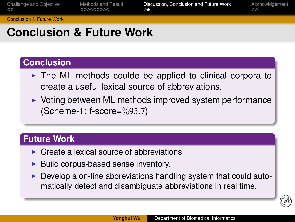#### $\circ$ Challange and Objective Methods and Result<br>000000000 Discussion, Conclusion and Future Work<br>○● Acknowldgement<br>00 Conclusion & Future Work

### **Conclusion & Future Work**

# . **Conclusion** ..

- $\triangleright$  The ML methods coulde be applied to clinical corpora to create a useful lexical source of abbreviations.
- $\triangleright$  Voting between ML methods improved system performance (Scheme-1: f-score=%95*.*7)

.. .

# . **Future Work** ..

- $\triangleright$  Create a lexical source of abbreviations.
- $\blacktriangleright$  Build corpus-based sense inventory.
- $\blacktriangleright$  Develop a on-line abbreviations handling system that could automatically detect and disambiguate abbreviations in real time.

.. .

0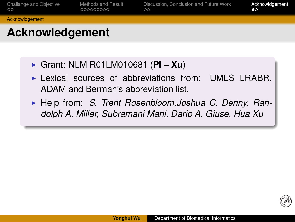### Challange and Objective<br>oo Methods and Result<br>000000000 Discussion, Conclusion and Future Work<br>oo Acknowldgement<br>●○ **Acknowldgement Acknowledgement** I Grant: NLM R01LM010681 (**PI – Xu**)

- $\blacktriangleright$  Lexical sources of abbreviations from: UMLS LRABR, ADAM and Berman's abbreviation list.
- I Help from: *S. Trent Rosenbloom,Joshua C. Denny, Randolph A. Miller, Subramani Mani, Dario A. Giuse, Hua Xu*

**Yonghui Wu** Department of Biomedical Information